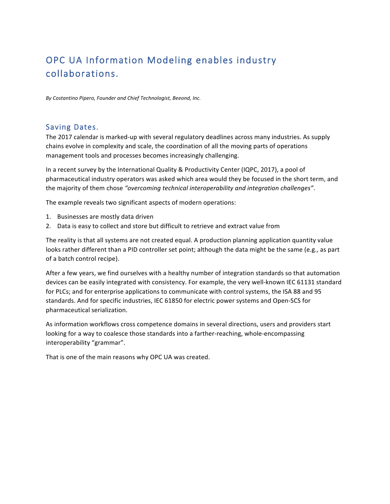# OPC UA Information Modeling enables industry collaborations.

*By Costantino Pipero, Founder and Chief Technologist, Beeond, Inc.*

### Saving Dates.

The 2017 calendar is marked-up with several regulatory deadlines across many industries. As supply chains evolve in complexity and scale, the coordination of all the moving parts of operations management tools and processes becomes increasingly challenging.

In a recent survey by the International Quality & Productivity Center (IQPC, 2017), a pool of pharmaceutical industry operators was asked which area would they be focused in the short term, and the majority of them chose "overcoming technical interoperability and integration challenges".

The example reveals two significant aspects of modern operations:

- 1. Businesses are mostly data driven
- 2. Data is easy to collect and store but difficult to retrieve and extract value from

The reality is that all systems are not created equal. A production planning application quantity value looks rather different than a PID controller set point; although the data might be the same (e.g., as part of a batch control recipe).

After a few years, we find ourselves with a healthy number of integration standards so that automation devices can be easily integrated with consistency. For example, the very well-known IEC 61131 standard for PLCs; and for enterprise applications to communicate with control systems, the ISA 88 and 95 standards. And for specific industries, IEC 61850 for electric power systems and Open-SCS for pharmaceutical serialization.

As information workflows cross competence domains in several directions, users and providers start looking for a way to coalesce those standards into a farther-reaching, whole-encompassing interoperability "grammar".

That is one of the main reasons why OPC UA was created.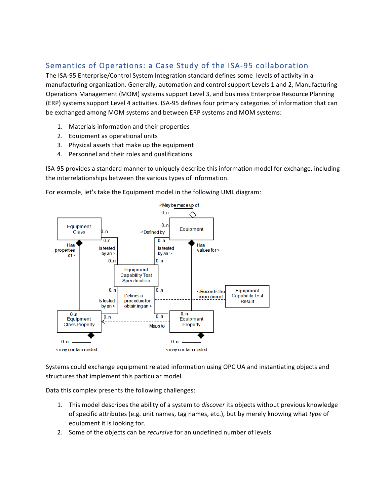## Semantics of Operations: a Case Study of the ISA-95 collaboration

The ISA-95 Enterprise/Control System Integration standard defines some levels of activity in a manufacturing organization. Generally, automation and control support Levels 1 and 2, Manufacturing Operations Management (MOM) systems support Level 3, and business Enterprise Resource Planning (ERP) systems support Level 4 activities. ISA-95 defines four primary categories of information that can be exchanged among MOM systems and between ERP systems and MOM systems:

- 1. Materials information and their properties
- 2. Equipment as operational units
- 3. Physical assets that make up the equipment
- 4. Personnel and their roles and qualifications

ISA-95 provides a standard manner to uniquely describe this information model for exchange, including the interrelationships between the various types of information.

For example, let's take the Equipment model in the following UML diagram:



Systems could exchange equipment related information using OPC UA and instantiating objects and structures that implement this particular model.

Data this complex presents the following challenges:

- 1. This model describes the ability of a system to *discover* its objects without previous knowledge of specific attributes (e.g. unit names, tag names, etc.), but by merely knowing what type of equipment it is looking for.
- 2. Some of the objects can be *recursive* for an undefined number of levels.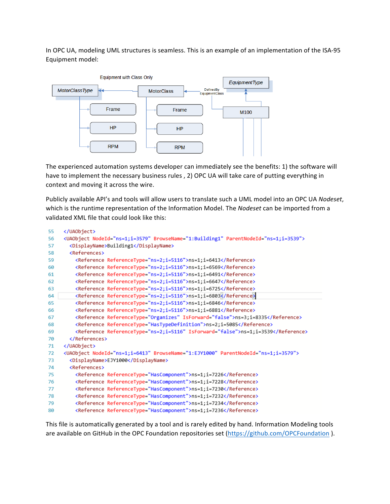In OPC UA, modeling UML structures is seamless. This is an example of an implementation of the ISA-95 Equipment model:



The experienced automation systems developer can immediately see the benefits: 1) the software will have to implement the necessary business rules, 2) OPC UA will take care of putting everything in context and moving it across the wire.

Publicly available API's and tools will allow users to translate such a UML model into an OPC UA Nodeset, which is the runtime representation of the Information Model. The *Nodeset* can be imported from a validated XML file that could look like this:

| 55 |                                                                                                |
|----|------------------------------------------------------------------------------------------------|
| 56 | <uaobject browsename="1:Building1" nodeid="ns=1;i=3579" parentnodeid="ns=1;i=3539"></uaobject> |
| 57 | <displayname>Building1</displayname>                                                           |
| 58 | <b><references></references></b>                                                               |
| 59 | <reference referencetype="ns=2;i=5116">ns=1;i=6413</reference>                                 |
| 60 | <reference referencetype="ns=2;i=5116">ns=1;i=6569</reference>                                 |
| 61 | <reference referencetype="ns=2;i=5116">ns=1;i=6491</reference>                                 |
| 62 | <reference referencetype="ns=2;i=5116">ns=1;i=6647</reference>                                 |
| 63 | <reference referencetype="ns=2;i=5116">ns=1;i=6725</reference>                                 |
| 64 | <reference referencetype="ns=2;i=5116">ns=1;i=6803</reference>                                 |
| 65 | <reference referencetype="ns=2;i=5116">ns=1;i=6846</reference>                                 |
| 66 | <reference referencetype="ns=2;i=5116">ns=1;i=6881</reference>                                 |
| 67 | <reference isforward="false" referencetype="Organizes">ns=3;i=8335</reference>                 |
| 68 | <reference referencetype="HasTypeDefinition">ns=2;i=5085</reference>                           |
| 69 | <reference isforward="false" referencetype="ns=2;i=5116">ns=1;i=3539</reference>               |
| 70 |                                                                                                |
| 71 |                                                                                                |
| 72 | <uaobject browsename="1:EJY1000" nodeid="ns=1;i=6413" parentnodeid="ns=1;i=3579"></uaobject>   |
| 73 | <displayname>EJY1000</displayname>                                                             |
| 74 | <references></references>                                                                      |
| 75 | <reference referencetype="HasComponent">ns=1;i=7226</reference>                                |
| 76 | <reference referencetype="HasComponent">ns=1;i=7228</reference>                                |
| 77 | <reference referencetype="HasComponent">ns=1;i=7230</reference>                                |
| 78 | <reference referencetype="HasComponent">ns=1;i=7232</reference>                                |
| 79 | <reference referencetype="HasComponent">ns=1;i=7234</reference>                                |
| 80 | <reference referencetype="HasComponent">ns=1;i=7236</reference>                                |

This file is automatically generated by a tool and is rarely edited by hand. Information Modeling tools are available on GitHub in the OPC Foundation repositories set (https://github.com/OPCFoundation).